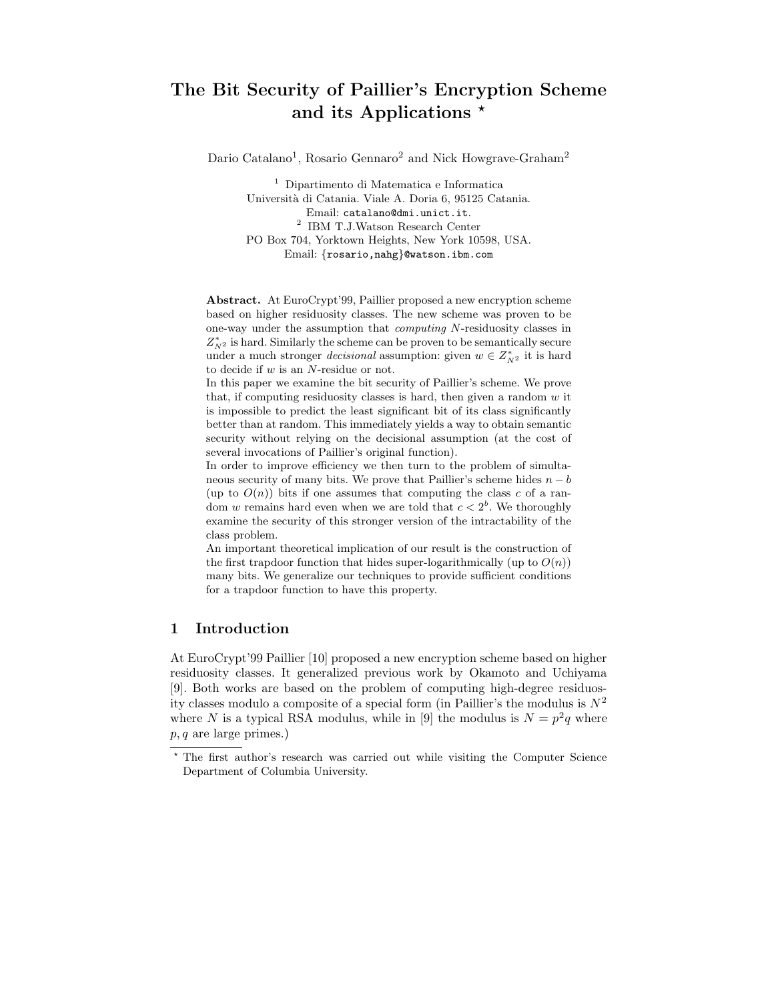# The Bit Security of Paillier's Encryption Scheme and its Applications  $\star$

Dario Catalano<sup>1</sup>, Rosario Gennaro<sup>2</sup> and Nick Howgrave-Graham<sup>2</sup>

<sup>1</sup> Dipartimento di Matematica e Informatica Universit`a di Catania. Viale A. Doria 6, 95125 Catania. Email: catalano@dmi.unict.it. 2 IBM T.J.Watson Research Center PO Box 704, Yorktown Heights, New York 10598, USA. Email: {rosario,nahg}@watson.ibm.com

Abstract. At EuroCrypt'99, Paillier proposed a new encryption scheme based on higher residuosity classes. The new scheme was proven to be one-way under the assumption that computing N-residuosity classes in  $\mathbb{Z}_{N^2}^*$  is hard. Similarly the scheme can be proven to be semantically secure under a much stronger *decisional* assumption: given  $w \in Z_{N^2}^*$  it is hard to decide if w is an N-residue or not.

In this paper we examine the bit security of Paillier's scheme. We prove that, if computing residuosity classes is hard, then given a random  $w$  it is impossible to predict the least significant bit of its class significantly better than at random. This immediately yields a way to obtain semantic security without relying on the decisional assumption (at the cost of several invocations of Paillier's original function).

In order to improve efficiency we then turn to the problem of simultaneous security of many bits. We prove that Paillier's scheme hides  $n - b$ (up to  $O(n)$ ) bits if one assumes that computing the class c of a random w remains hard even when we are told that  $c < 2<sup>b</sup>$ . We thoroughly examine the security of this stronger version of the intractability of the class problem.

An important theoretical implication of our result is the construction of the first trapdoor function that hides super-logarithmically (up to  $O(n)$ ) many bits. We generalize our techniques to provide sufficient conditions for a trapdoor function to have this property.

# 1 Introduction

At EuroCrypt'99 Paillier [10] proposed a new encryption scheme based on higher residuosity classes. It generalized previous work by Okamoto and Uchiyama [9]. Both works are based on the problem of computing high-degree residuosity classes modulo a composite of a special form (in Paillier's the modulus is  $N^2$ where N is a typical RSA modulus, while in [9] the modulus is  $N = p^2q$  where  $p, q$  are large primes.)

<sup>?</sup> The first author's research was carried out while visiting the Computer Science Department of Columbia University.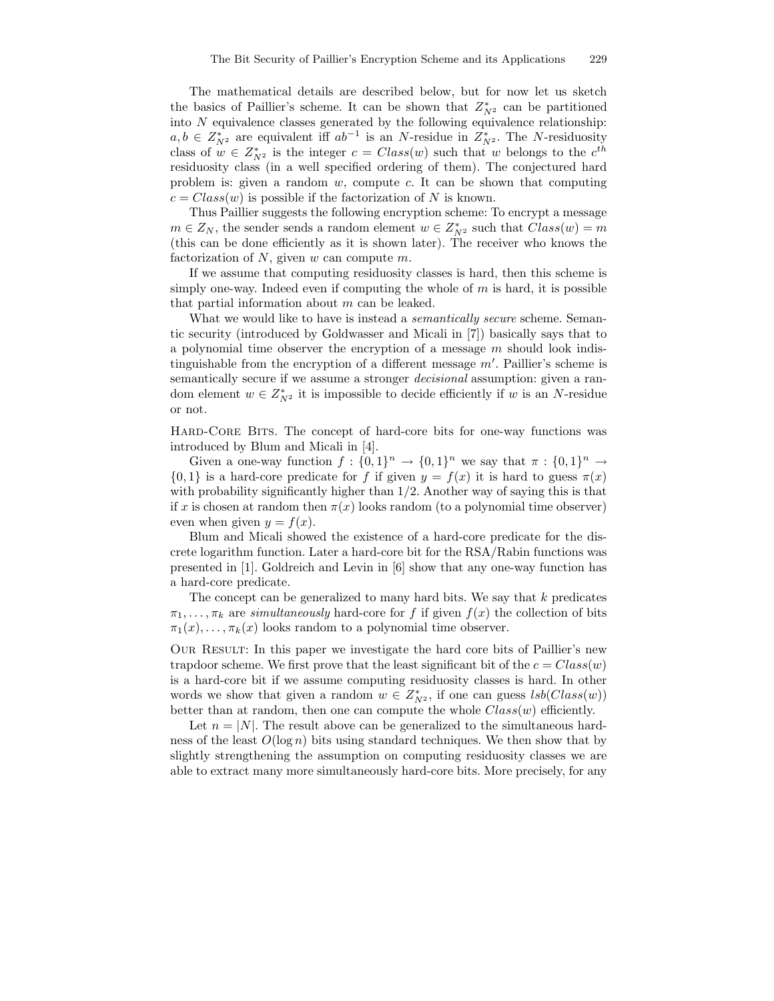The mathematical details are described below, but for now let us sketch the basics of Paillier's scheme. It can be shown that  $Z_{N^2}^*$  can be partitioned into  $N$  equivalence classes generated by the following equivalence relationship:  $a, b \in Z^*_{N^2}$  are equivalent iff  $ab^{-1}$  is an N-residue in  $Z^*_{N^2}$ . The N-residuosity class of  $w \in Z_{N^2}^*$  is the integer  $c = Class(w)$  such that w belongs to the  $c^{th}$ residuosity class (in a well specified ordering of them). The conjectured hard problem is: given a random  $w$ , compute  $c$ . It can be shown that computing  $c = Class(w)$  is possible if the factorization of N is known.

Thus Paillier suggests the following encryption scheme: To encrypt a message  $m \in Z_N$ , the sender sends a random element  $w \in Z^*_{N^2}$  such that  $Class(w) = m$ (this can be done efficiently as it is shown later). The receiver who knows the factorization of  $N$ , given  $w$  can compute  $m$ .

If we assume that computing residuosity classes is hard, then this scheme is simply one-way. Indeed even if computing the whole of  $m$  is hard, it is possible that partial information about  $m$  can be leaked.

What we would like to have is instead a *semantically secure* scheme. Semantic security (introduced by Goldwasser and Micali in [7]) basically says that to a polynomial time observer the encryption of a message  $m$  should look indistinguishable from the encryption of a different message  $m'$ . Paillier's scheme is semantically secure if we assume a stronger decisional assumption: given a random element  $w \in Z^*_{N^2}$  it is impossible to decide efficiently if w is an N-residue or not.

Hard-Core Bits. The concept of hard-core bits for one-way functions was introduced by Blum and Micali in [4].

Given a one-way function  $f: \{0,1\}^n \to \{0,1\}^n$  we say that  $\pi: \{0,1\}^n \to \{0,1\}^n$  $\{0, 1\}$  is a hard-core predicate for f if given  $y = f(x)$  it is hard to guess  $\pi(x)$ with probability significantly higher than  $1/2$ . Another way of saying this is that if x is chosen at random then  $\pi(x)$  looks random (to a polynomial time observer) even when given  $y = f(x)$ .

Blum and Micali showed the existence of a hard-core predicate for the discrete logarithm function. Later a hard-core bit for the RSA/Rabin functions was presented in [1]. Goldreich and Levin in [6] show that any one-way function has a hard-core predicate.

The concept can be generalized to many hard bits. We say that  $k$  predicates  $\pi_1, \ldots, \pi_k$  are simultaneously hard-core for f if given  $f(x)$  the collection of bits  $\pi_1(x), \ldots, \pi_k(x)$  looks random to a polynomial time observer.

Our Result: In this paper we investigate the hard core bits of Paillier's new trapdoor scheme. We first prove that the least significant bit of the  $c = Class(w)$ is a hard-core bit if we assume computing residuosity classes is hard. In other words we show that given a random  $w \in Z_{N^2}^*$ , if one can guess  $lsb(Class(w))$ better than at random, then one can compute the whole  $Class(w)$  efficiently.

Let  $n = |N|$ . The result above can be generalized to the simultaneous hardness of the least  $O(\log n)$  bits using standard techniques. We then show that by slightly strengthening the assumption on computing residuosity classes we are able to extract many more simultaneously hard-core bits. More precisely, for any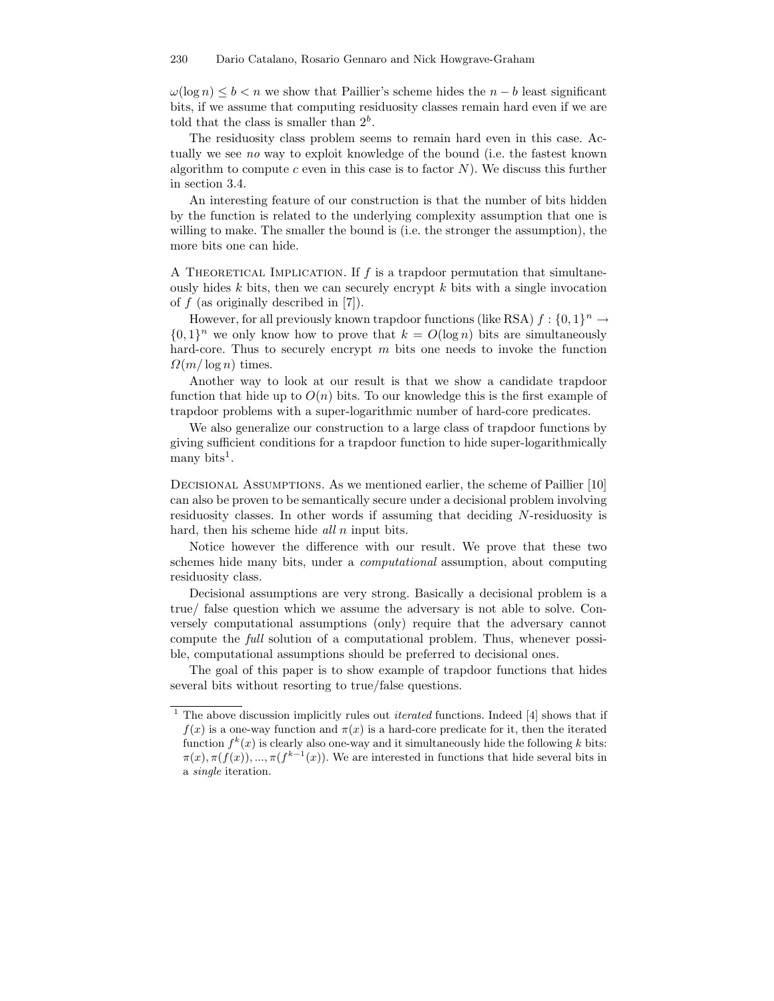$\omega(\log n) \leq b \leq n$  we show that Paillier's scheme hides the  $n - b$  least significant bits, if we assume that computing residuosity classes remain hard even if we are told that the class is smaller than  $2^b$ .

The residuosity class problem seems to remain hard even in this case. Actually we see no way to exploit knowledge of the bound (i.e. the fastest known algorithm to compute c even in this case is to factor  $N$ ). We discuss this further in section 3.4.

An interesting feature of our construction is that the number of bits hidden by the function is related to the underlying complexity assumption that one is willing to make. The smaller the bound is (i.e. the stronger the assumption), the more bits one can hide.

A THEORETICAL IMPLICATION. If  $f$  is a trapdoor permutation that simultaneously hides  $k$  bits, then we can securely encrypt  $k$  bits with a single invocation of  $f$  (as originally described in [7]).

However, for all previously known trapdoor functions (like RSA)  $f: \{0, 1\}^n \to$  ${0, 1}^n$  we only know how to prove that  $k = O(\log n)$  bits are simultaneously hard-core. Thus to securely encrypt  $m$  bits one needs to invoke the function  $\Omega(m/\log n)$  times.

Another way to look at our result is that we show a candidate trapdoor function that hide up to  $O(n)$  bits. To our knowledge this is the first example of trapdoor problems with a super-logarithmic number of hard-core predicates.

We also generalize our construction to a large class of trapdoor functions by giving sufficient conditions for a trapdoor function to hide super-logarithmically many bits<sup>1</sup>.

DECISIONAL ASSUMPTIONS. As we mentioned earlier, the scheme of Paillier [10] can also be proven to be semantically secure under a decisional problem involving residuosity classes. In other words if assuming that deciding N-residuosity is hard, then his scheme hide all n input bits.

Notice however the difference with our result. We prove that these two schemes hide many bits, under a computational assumption, about computing residuosity class.

Decisional assumptions are very strong. Basically a decisional problem is a true/ false question which we assume the adversary is not able to solve. Conversely computational assumptions (only) require that the adversary cannot compute the full solution of a computational problem. Thus, whenever possible, computational assumptions should be preferred to decisional ones.

The goal of this paper is to show example of trapdoor functions that hides several bits without resorting to true/false questions.

 $1$  The above discussion implicitly rules out *iterated* functions. Indeed [4] shows that if  $f(x)$  is a one-way function and  $\pi(x)$  is a hard-core predicate for it, then the iterated function  $f^k(x)$  is clearly also one-way and it simultaneously hide the following k bits:  $\pi(x), \pi(f(x)), \ldots, \pi(f^{k-1}(x)).$  We are interested in functions that hide several bits in a single iteration.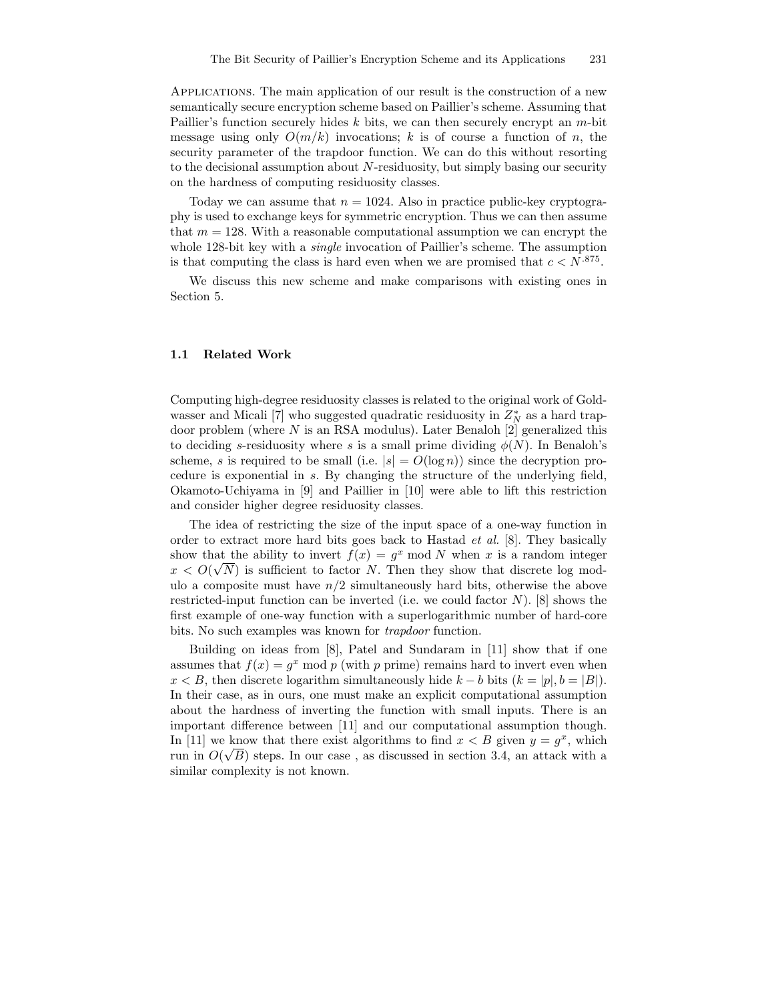Applications. The main application of our result is the construction of a new semantically secure encryption scheme based on Paillier's scheme. Assuming that Paillier's function securely hides k bits, we can then securely encrypt an m-bit message using only  $O(m/k)$  invocations; k is of course a function of n, the security parameter of the trapdoor function. We can do this without resorting to the decisional assumption about  $N$ -residuosity, but simply basing our security on the hardness of computing residuosity classes.

Today we can assume that  $n = 1024$ . Also in practice public-key cryptography is used to exchange keys for symmetric encryption. Thus we can then assume that  $m = 128$ . With a reasonable computational assumption we can encrypt the whole 128-bit key with a *single* invocation of Paillier's scheme. The assumption is that computing the class is hard even when we are promised that  $c < N^{.875}$ .

We discuss this new scheme and make comparisons with existing ones in Section 5.

## 1.1 Related Work

Computing high-degree residuosity classes is related to the original work of Goldwasser and Micali [7] who suggested quadratic residuosity in  $Z_N^*$  as a hard trapdoor problem (where  $N$  is an RSA modulus). Later Benaloh [2] generalized this to deciding s-residuosity where s is a small prime dividing  $\phi(N)$ . In Benaloh's scheme, s is required to be small (i.e.  $|s| = O(\log n)$ ) since the decryption procedure is exponential in s. By changing the structure of the underlying field, Okamoto-Uchiyama in [9] and Paillier in [10] were able to lift this restriction and consider higher degree residuosity classes.

The idea of restricting the size of the input space of a one-way function in order to extract more hard bits goes back to Hastad *et al.* [8]. They basically show that the ability to invert  $f(x) = g^x \mod N$  when x is a random integer  $x < O(\sqrt{N})$  is sufficient to factor N. Then they show that discrete log modulo a composite must have  $n/2$  simultaneously hard bits, otherwise the above restricted-input function can be inverted (i.e. we could factor  $N$ ). [8] shows the first example of one-way function with a superlogarithmic number of hard-core bits. No such examples was known for trapdoor function.

Building on ideas from [8], Patel and Sundaram in [11] show that if one assumes that  $f(x) = g^x \mod p$  (with p prime) remains hard to invert even when  $x < B$ , then discrete logarithm simultaneously hide  $k - b$  bits  $(k = |p|, b = |B|)$ . In their case, as in ours, one must make an explicit computational assumption about the hardness of inverting the function with small inputs. There is an important difference between [11] and our computational assumption though. In [11] we know that there exist algorithms to find  $x < B$  given  $y = g^x$ , which run in  $O(\sqrt{B})$  steps. In our case, as discussed in section 3.4, an attack with a similar complexity is not known.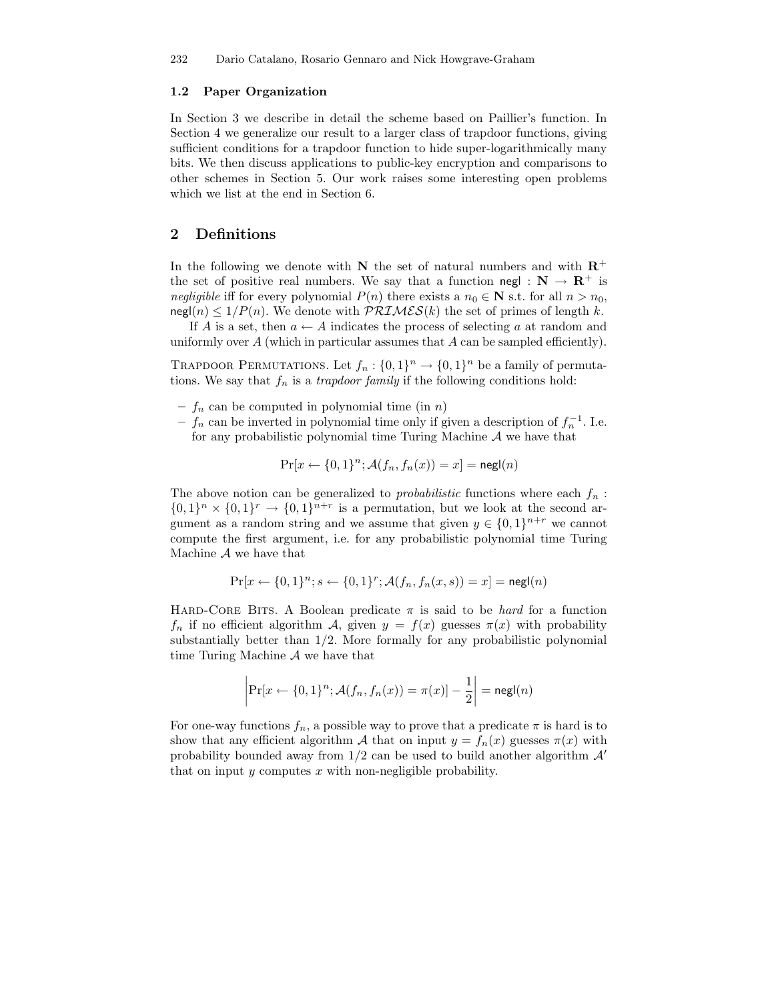## 1.2 Paper Organization

In Section 3 we describe in detail the scheme based on Paillier's function. In Section 4 we generalize our result to a larger class of trapdoor functions, giving sufficient conditions for a trapdoor function to hide super-logarithmically many bits. We then discuss applications to public-key encryption and comparisons to other schemes in Section 5. Our work raises some interesting open problems which we list at the end in Section 6.

## 2 Definitions

In the following we denote with N the set of natural numbers and with  $\mathbb{R}^+$ the set of positive real numbers. We say that a function negl :  $N \rightarrow R^+$  is *negligible* iff for every polynomial  $P(n)$  there exists a  $n_0 \in \mathbb{N}$  s.t. for all  $n > n_0$ ,  $negl(n) \leq 1/P(n)$ . We denote with  $PRIMES(k)$  the set of primes of length k.

If A is a set, then  $a \leftarrow A$  indicates the process of selecting a at random and uniformly over A (which in particular assumes that A can be sampled efficiently).

TRAPDOOR PERMUTATIONS. Let  $f_n: \{0,1\}^n \to \{0,1\}^n$  be a family of permutations. We say that  $f_n$  is a *trapdoor family* if the following conditions hold:

- $f_n$  can be computed in polynomial time (in n)
- $-f_n$  can be inverted in polynomial time only if given a description of  $f_n^{-1}$ . I.e. for any probabilistic polynomial time Turing Machine  $A$  we have that

$$
\Pr[x \leftarrow \{0, 1\}^n; \mathcal{A}(f_n, f_n(x)) = x] = \mathsf{negl}(n)
$$

The above notion can be generalized to *probabilistic* functions where each  $f_n$ :  $\{0,1\}^n \times \{0,1\}^r \to \{0,1\}^{n+r}$  is a permutation, but we look at the second argument as a random string and we assume that given  $y \in \{0,1\}^{n+r}$  we cannot compute the first argument, i.e. for any probabilistic polynomial time Turing Machine  $A$  we have that

$$
\Pr[x \leftarrow \{0, 1\}^n; s \leftarrow \{0, 1\}^r; \mathcal{A}(f_n, f_n(x, s)) = x] = \mathsf{negl}(n)
$$

HARD-CORE BITS. A Boolean predicate  $\pi$  is said to be *hard* for a function  $f_n$  if no efficient algorithm A, given  $y = f(x)$  guesses  $\pi(x)$  with probability substantially better than  $1/2$ . More formally for any probabilistic polynomial time Turing Machine A we have that

$$
\left| \Pr[x \leftarrow \{0, 1\}^n; \mathcal{A}(f_n, f_n(x)) = \pi(x) \right] - \frac{1}{2} \right| = \mathsf{negl}(n)
$$

For one-way functions  $f_n$ , a possible way to prove that a predicate  $\pi$  is hard is to show that any efficient algorithm A that on input  $y = f_n(x)$  guesses  $\pi(x)$  with probability bounded away from  $1/2$  can be used to build another algorithm  $\mathcal{A}'$ that on input  $y$  computes  $x$  with non-negligible probability.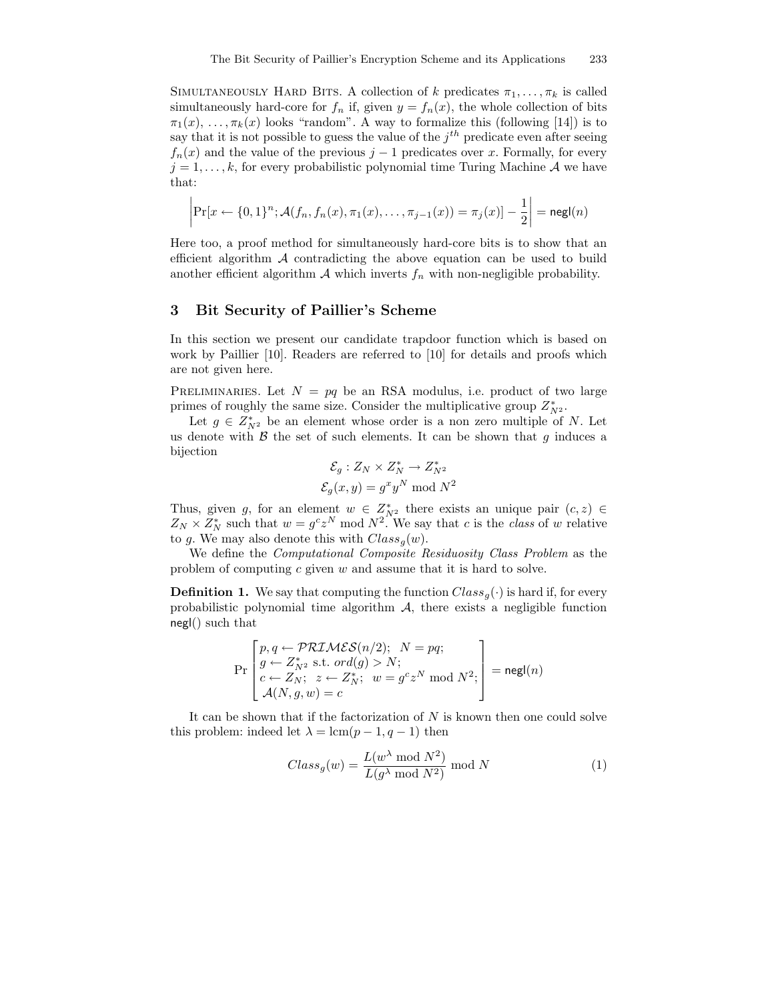SIMULTANEOUSLY HARD BITS. A collection of k predicates  $\pi_1, \ldots, \pi_k$  is called simultaneously hard-core for  $f_n$  if, given  $y = f_n(x)$ , the whole collection of bits  $\pi_1(x), \ldots, \pi_k(x)$  looks "random". A way to formalize this (following [14]) is to say that it is not possible to guess the value of the  $j<sup>th</sup>$  predicate even after seeing  $f_n(x)$  and the value of the previous  $j-1$  predicates over x. Formally, for every  $j = 1, \ldots, k$ , for every probabilistic polynomial time Turing Machine A we have that:

$$
\left|\Pr[x \leftarrow \{0,1\}^n; \mathcal{A}(f_n, f_n(x), \pi_1(x), \dots, \pi_{j-1}(x)) = \pi_j(x)\right] - \frac{1}{2}\right| = \mathsf{negl}(n)
$$

Here too, a proof method for simultaneously hard-core bits is to show that an efficient algorithm  $\mathcal A$  contradicting the above equation can be used to build another efficient algorithm  $A$  which inverts  $f_n$  with non-negligible probability.

## 3 Bit Security of Paillier's Scheme

In this section we present our candidate trapdoor function which is based on work by Paillier [10]. Readers are referred to [10] for details and proofs which are not given here.

PRELIMINARIES. Let  $N = pq$  be an RSA modulus, i.e. product of two large primes of roughly the same size. Consider the multiplicative group  $Z_{N^2}^*$ .

Let  $g \in Z_{N^2}^*$  be an element whose order is a non zero multiple of N. Let us denote with  $\beta$  the set of such elements. It can be shown that g induces a bijection

$$
\mathcal{E}_{g}:Z_{N}\times Z_{N}^{\ast}\rightarrow Z_{N^{2}}^{\ast}
$$
  

$$
\mathcal{E}_{g}(x,y)=g^{x}y^{N}\bmod N^{2}
$$

Thus, given g, for an element  $w \in Z_{N^2}^*$  there exists an unique pair  $(c, z) \in$  $Z_N \times Z_N^*$  such that  $w = g^c z^N \mod N^2$ . We say that c is the class of w relative to g. We may also denote this with  $Class_{q}(w)$ .

We define the Computational Composite Residuosity Class Problem as the problem of computing c given w and assume that it is hard to solve.

**Definition 1.** We say that computing the function  $Class_{g}(\cdot)$  is hard if, for every probabilistic polynomial time algorithm  $A$ , there exists a negligible function negl() such that

$$
\Pr\left[\begin{matrix} p, q \leftarrow \mathcal{PRIMES}(n/2); \ N = pq; \\ g \leftarrow Z_{N^2}^* \text{ s.t. } ord(g) > N; \\ c \leftarrow Z_N; \ z \leftarrow Z_N^*; \ w = g^c z^N \text{ mod } N^2; \\ \mathcal{A}(N, g, w) = c \end{matrix}\right\} = \mathsf{negl}(n)
$$

It can be shown that if the factorization of  $N$  is known then one could solve this problem: indeed let  $\lambda = \text{lcm}(p-1, q-1)$  then

$$
Class_g(w) = \frac{L(w^{\lambda} \mod N^2)}{L(g^{\lambda} \mod N^2)} \mod N \tag{1}
$$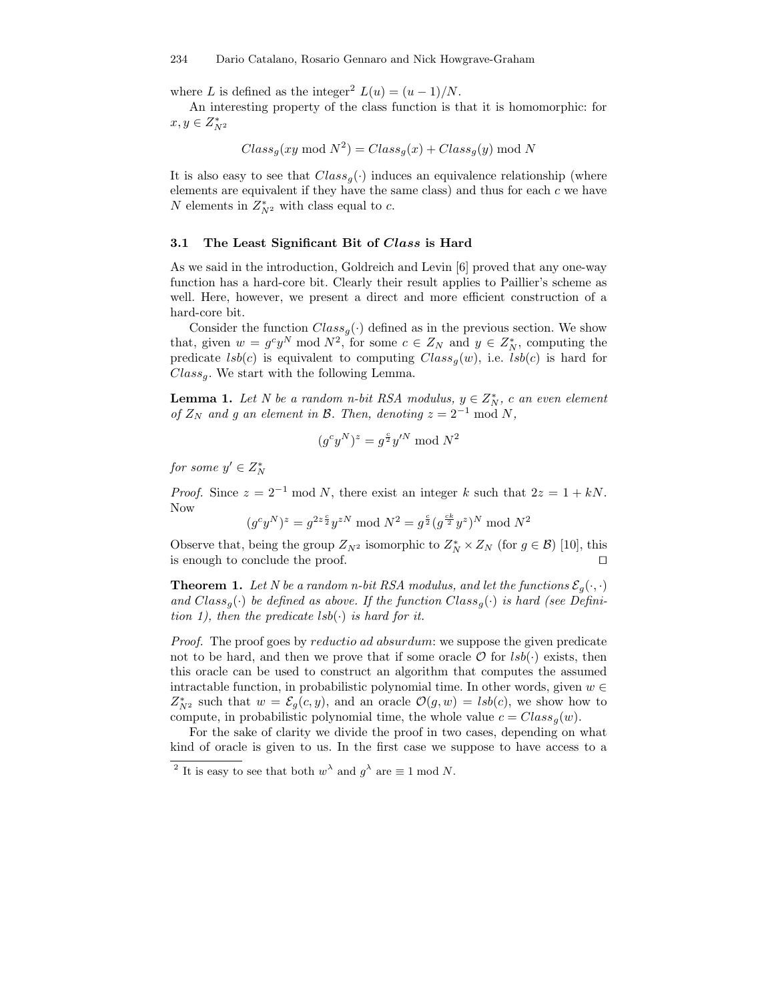#### 234 Dario Catalano, Rosario Gennaro and Nick Howgrave-Graham

where L is defined as the integer<sup>2</sup>  $L(u) = (u-1)/N$ .

An interesting property of the class function is that it is homomorphic: for  $x, y \in Z_{N^2}^*$ 

$$
Class_g(xy \bmod N^2) = Class_g(x) + Class_g(y) \bmod N
$$

It is also easy to see that  $Class_{q}(\cdot)$  induces an equivalence relationship (where elements are equivalent if they have the same class) and thus for each  $c$  we have N elements in  $Z_{N^2}^*$  with class equal to c.

## 3.1 The Least Significant Bit of Class is Hard

As we said in the introduction, Goldreich and Levin [6] proved that any one-way function has a hard-core bit. Clearly their result applies to Paillier's scheme as well. Here, however, we present a direct and more efficient construction of a hard-core bit.

Consider the function  $Class_g(\cdot)$  defined as in the previous section. We show that, given  $w = g^c y^N \mod N^2$ , for some  $c \in Z_N$  and  $y \in Z_N^*$ , computing the predicate  $lsb(c)$  is equivalent to computing  $Class_{g}(w)$ , i.e.  $lsb(c)$  is hard for  $Class_{q}$ . We start with the following Lemma.

**Lemma 1.** Let N be a random n-bit RSA modulus,  $y \in Z_N^*$ , c an even element of  $Z_N$  and g an element in  $\mathcal{B}$ . Then, denoting  $z = 2^{-1} \bmod N$ ,

$$
(g^c y^N)^z = g^{\frac{c}{2}} y'^N \bmod N^2
$$

for some  $y' \in Z_N^*$ 

*Proof.* Since  $z = 2^{-1} \text{ mod } N$ , there exist an integer k such that  $2z = 1 + kN$ . Now

$$
(g^c y^N)^z = g^{2z \frac{c}{2}} y^{zN} \bmod N^2 = g^{\frac{c}{2}} (g^{\frac{ck}{2}} y^z)^N \bmod N^2
$$

Observe that, being the group  $Z_{N^2}$  isomorphic to  $Z_N^* \times Z_N$  (for  $g \in \mathcal{B}$ ) [10], this is enough to conclude the proof.  $\Box$ 

**Theorem 1.** Let N be a random n-bit RSA modulus, and let the functions  $\mathcal{E}_q(\cdot, \cdot)$ and  $Class_{q}(\cdot)$  be defined as above. If the function  $Class_{q}(\cdot)$  is hard (see Definition 1), then the predicate  $lsb(\cdot)$  is hard for it.

Proof. The proof goes by reductio ad absurdum: we suppose the given predicate not to be hard, and then we prove that if some oracle  $\mathcal O$  for  $lsb(\cdot)$  exists, then this oracle can be used to construct an algorithm that computes the assumed intractable function, in probabilistic polynomial time. In other words, given  $w \in$  $Z_{N^2}^*$  such that  $w = \mathcal{E}_g(c, y)$ , and an oracle  $\mathcal{O}(g, w) = \text{lsb}(c)$ , we show how to compute, in probabilistic polynomial time, the whole value  $c = Class_q(w)$ .

For the sake of clarity we divide the proof in two cases, depending on what kind of oracle is given to us. In the first case we suppose to have access to a

<sup>&</sup>lt;sup>2</sup> It is easy to see that both  $w^{\lambda}$  and  $g^{\lambda}$  are  $\equiv 1 \mod N$ .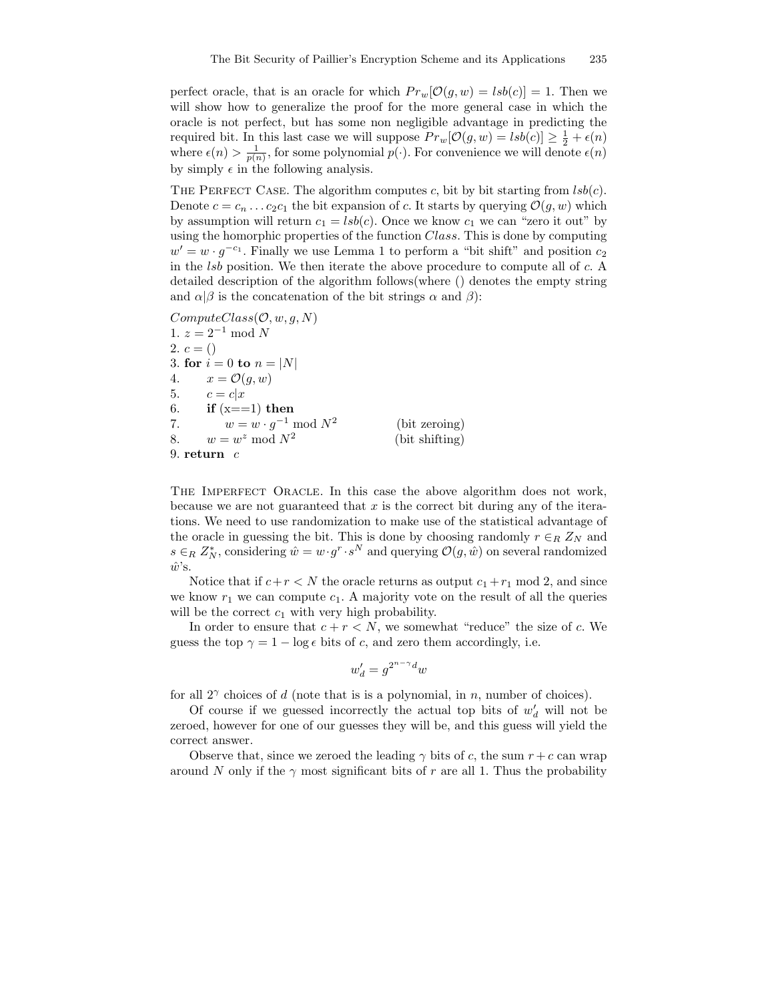perfect oracle, that is an oracle for which  $Pr_w[O(g, w) = lsb(c)] = 1$ . Then we will show how to generalize the proof for the more general case in which the oracle is not perfect, but has some non negligible advantage in predicting the required bit. In this last case we will suppose  $Pr_w[O(g, w) = lsb(c)] \geq \frac{1}{2} + \epsilon(n)$ where  $\epsilon(n) > \frac{1}{p(n)}$ , for some polynomial  $p(\cdot)$ . For convenience we will denote  $\epsilon(n)$ by simply  $\epsilon$  in the following analysis.

THE PERFECT CASE. The algorithm computes c, bit by bit starting from  $lsb(c)$ . Denote  $c = c_n \dots c_2 c_1$  the bit expansion of c. It starts by querying  $\mathcal{O}(q, w)$  which by assumption will return  $c_1 = lsb(c)$ . Once we know  $c_1$  we can "zero it out" by using the homorphic properties of the function Class. This is done by computing  $w' = w \cdot g^{-c_1}$ . Finally we use Lemma 1 to perform a "bit shift" and position  $c_2$ in the lsb position. We then iterate the above procedure to compute all of c. A detailed description of the algorithm follows(where () denotes the empty string and  $\alpha|\beta$  is the concatenation of the bit strings  $\alpha$  and  $\beta$ ):

 $ComputeClass(\mathcal{O}, w, g, N)$ 1.  $z = 2^{-1} \mod N$ 2.  $c = ()$ 3. for  $i = 0$  to  $n = |N|$ <br>4.  $x = \mathcal{O}(q, w)$ 4.  $x = \mathcal{O}(g, w)$ <br>5.  $c = c|x$ 5.  $c = c|x$ <br>6. **if** (x== if  $(x == 1)$  then 7.  $w = w \cdot g^{-1} \bmod N^2$ (bit zeroing) 8.  $w = w^z \mod N^2$ (bit shifting) 9. return c

The Imperfect Oracle. In this case the above algorithm does not work, because we are not guaranteed that  $x$  is the correct bit during any of the iterations. We need to use randomization to make use of the statistical advantage of the oracle in guessing the bit. This is done by choosing randomly  $r \in_R Z_N$  and  $s \in_R Z_N^*$ , considering  $\hat{w} = w \cdot g^r \cdot s^N$  and querying  $\mathcal{O}(g, \hat{w})$  on several randomized  $\hat{w}$ 's.

Notice that if  $c+r < N$  the oracle returns as output  $c_1+r_1 \mod 2$ , and since we know  $r_1$  we can compute  $c_1$ . A majority vote on the result of all the queries will be the correct  $c_1$  with very high probability.

In order to ensure that  $c + r < N$ , we somewhat "reduce" the size of c. We guess the top  $\gamma = 1 - \log \epsilon$  bits of c, and zero them accordingly, i.e.

$$
w'_d = g^{2^{n-\gamma}d}w
$$

for all  $2^{\gamma}$  choices of d (note that is is a polynomial, in n, number of choices).

Of course if we guessed incorrectly the actual top bits of  $w'_d$  will not be zeroed, however for one of our guesses they will be, and this guess will yield the correct answer.

Observe that, since we zeroed the leading  $\gamma$  bits of c, the sum  $r + c$  can wrap around N only if the  $\gamma$  most significant bits of r are all 1. Thus the probability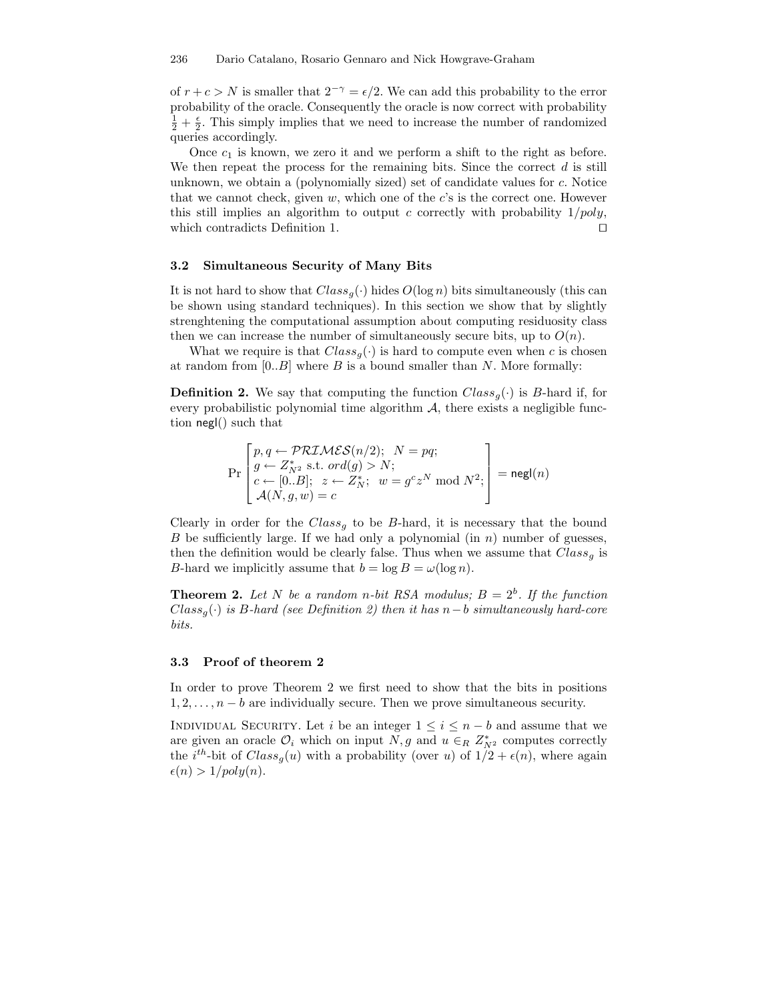of  $r + c > N$  is smaller that  $2^{-\gamma} = \epsilon/2$ . We can add this probability to the error probability of the oracle. Consequently the oracle is now correct with probability  $\frac{1}{2} + \frac{\epsilon}{2}$ . This simply implies that we need to increase the number of randomized queries accordingly.

Once  $c_1$  is known, we zero it and we perform a shift to the right as before. We then repeat the process for the remaining bits. Since the correct  $d$  is still unknown, we obtain a (polynomially sized) set of candidate values for c. Notice that we cannot check, given  $w$ , which one of the c's is the correct one. However this still implies an algorithm to output c correctly with probability  $1/poly$ , which contradicts Definition 1.  $\Box$ 

#### 3.2 Simultaneous Security of Many Bits

It is not hard to show that  $Class_{g}(\cdot)$  hides  $O(\log n)$  bits simultaneously (this can be shown using standard techniques). In this section we show that by slightly strenghtening the computational assumption about computing residuosity class then we can increase the number of simultaneously secure bits, up to  $O(n)$ .

What we require is that  $Class_{q}(\cdot)$  is hard to compute even when c is chosen at random from  $[0..B]$  where B is a bound smaller than N. More formally:

**Definition 2.** We say that computing the function  $Class_q(\cdot)$  is B-hard if, for every probabilistic polynomial time algorithm  $A$ , there exists a negligible function negl() such that

$$
\Pr\left[\begin{matrix}p,q \leftarrow \mathcal{PRIMES}(n/2); \ N = pq; \\ g \leftarrow Z_{N^2}^* \text{ s.t. } ord(g) > N; \\ c \leftarrow [0..B]; \ z \leftarrow Z_N^*; \ w = g^c z^N \text{ mod } N^2; \\ \mathcal{A}(N,g,w) = c\end{matrix}\right] = \text{negl}(n)
$$

Clearly in order for the  $Class_{g}$  to be B-hard, it is necessary that the bound B be sufficiently large. If we had only a polynomial (in  $n$ ) number of guesses, then the definition would be clearly false. Thus when we assume that  $Class_{q}$  is B-hard we implicitly assume that  $b = \log B = \omega(\log n)$ .

**Theorem 2.** Let N be a random n-bit RSA modulus;  $B = 2<sup>b</sup>$ . If the function  $Class_{g}(\cdot)$  is B-hard (see Definition 2) then it has  $n-b$  simultaneously hard-core bits.

## 3.3 Proof of theorem 2

In order to prove Theorem 2 we first need to show that the bits in positions  $1, 2, \ldots, n-b$  are individually secure. Then we prove simultaneous security.

INDIVIDUAL SECURITY. Let i be an integer  $1 \leq i \leq n - b$  and assume that we are given an oracle  $\mathcal{O}_i$  which on input  $N, g$  and  $u \in_R Z^*_{N^2}$  computes correctly the *i*<sup>th</sup>-bit of  $Class_g(u)$  with a probability (over u) of  $1/2 + \epsilon(n)$ , where again  $\epsilon(n) > 1/poly(n).$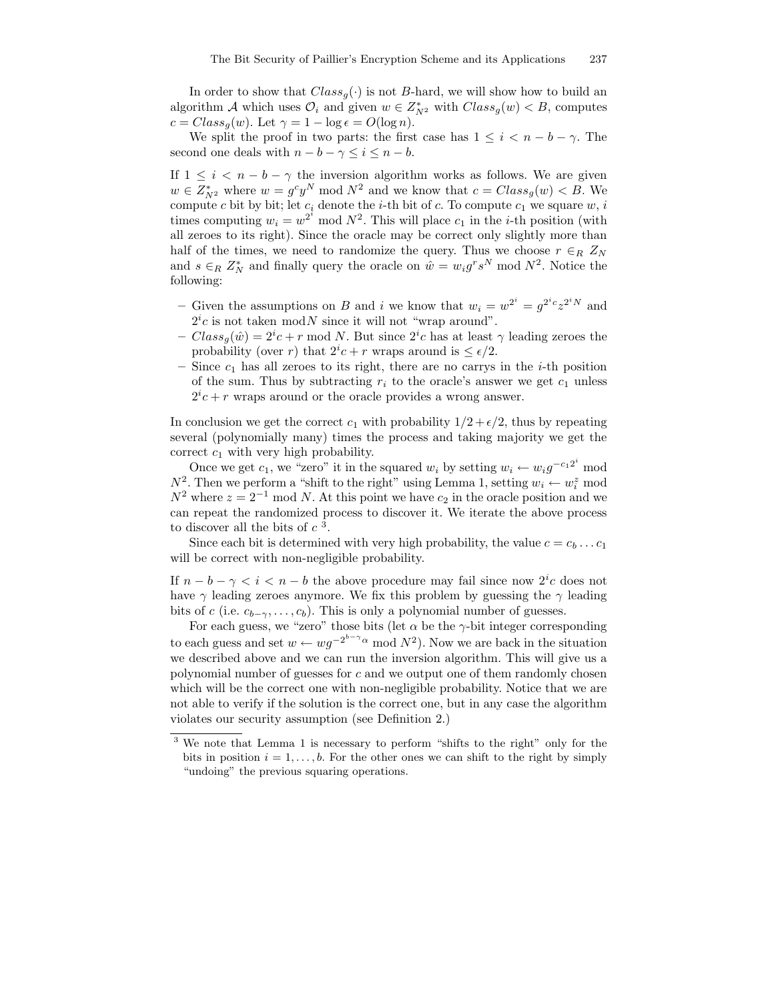In order to show that  $Class_{g}(\cdot)$  is not B-hard, we will show how to build an algorithm A which uses  $\mathcal{O}_i$  and given  $w \in Z^*_{N^2}$  with  $Class_g(w) < B$ , computes  $c = Class_{g}(w)$ . Let  $\gamma = 1 - \log \epsilon = O(\log n)$ .

We split the proof in two parts: the first case has  $1 \leq i \leq n - b - \gamma$ . The second one deals with  $n - b - \gamma \leq i \leq n - b$ .

If  $1 \leq i \leq n - b - \gamma$  the inversion algorithm works as follows. We are given  $w \in Z_{N^2}^*$  where  $w = g^c y^N \mod N^2$  and we know that  $c = Class_g(w) < B$ . We compute c bit by bit; let  $c_i$  denote the *i*-th bit of c. To compute  $c_1$  we square  $w, i$ times computing  $w_i = w^{2^i} \mod N^2$ . This will place  $c_1$  in the *i*-th position (with all zeroes to its right). Since the oracle may be correct only slightly more than half of the times, we need to randomize the query. Thus we choose  $r \in_R Z_N$ and  $s \in_R Z_N^*$  and finally query the oracle on  $\hat{w} = w_i g^r s^N \text{ mod } N^2$ . Notice the following:

- Given the assumptions on B and i we know that  $w_i = w^{2^i} = g^{2^i c} z^{2^i N}$  and  $2^{i}c$  is not taken mod N since it will not "wrap around".
- $Class_g(\hat{w}) = 2^i c + r \mod N$ . But since  $2^i c$  has at least  $\gamma$  leading zeroes the probability (over r) that  $2^i c + r$  wraps around is  $\leq \epsilon/2$ .
- Since  $c_1$  has all zeroes to its right, there are no carrys in the *i*-th position of the sum. Thus by subtracting  $r_i$  to the oracle's answer we get  $c_1$  unless  $2^i c + r$  wraps around or the oracle provides a wrong answer.

In conclusion we get the correct  $c_1$  with probability  $1/2+\epsilon/2$ , thus by repeating several (polynomially many) times the process and taking majority we get the correct  $c_1$  with very high probability.

Once we get  $c_1$ , we "zero" it in the squared  $w_i$  by setting  $w_i \leftarrow w_i g^{-c_1 2^i}$  mod  $N^2$ . Then we perform a "shift to the right" using Lemma 1, setting  $w_i \leftarrow w_i^z$  mod  $N^2$  where  $z = 2^{-1}$  mod N. At this point we have  $c_2$  in the oracle position and we can repeat the randomized process to discover it. We iterate the above process to discover all the bits of  $c<sup>3</sup>$ .

Since each bit is determined with very high probability, the value  $c = c_b \dots c_1$ will be correct with non-negligible probability.

If  $n - b - \gamma < i < n - b$  the above procedure may fail since now  $2^i c$  does not have  $\gamma$  leading zeroes anymore. We fix this problem by guessing the  $\gamma$  leading bits of c (i.e.  $c_{b-\gamma}, \ldots, c_b$ ). This is only a polynomial number of guesses.

For each guess, we "zero" those bits (let  $\alpha$  be the  $\gamma$ -bit integer corresponding to each guess and set  $w \leftarrow wg^{-2^{b-\gamma}\alpha} \mod N^2$ . Now we are back in the situation we described above and we can run the inversion algorithm. This will give us a polynomial number of guesses for  $c$  and we output one of them randomly chosen which will be the correct one with non-negligible probability. Notice that we are not able to verify if the solution is the correct one, but in any case the algorithm violates our security assumption (see Definition 2.)

<sup>3</sup> We note that Lemma 1 is necessary to perform "shifts to the right" only for the bits in position  $i = 1, \ldots, b$ . For the other ones we can shift to the right by simply "undoing" the previous squaring operations.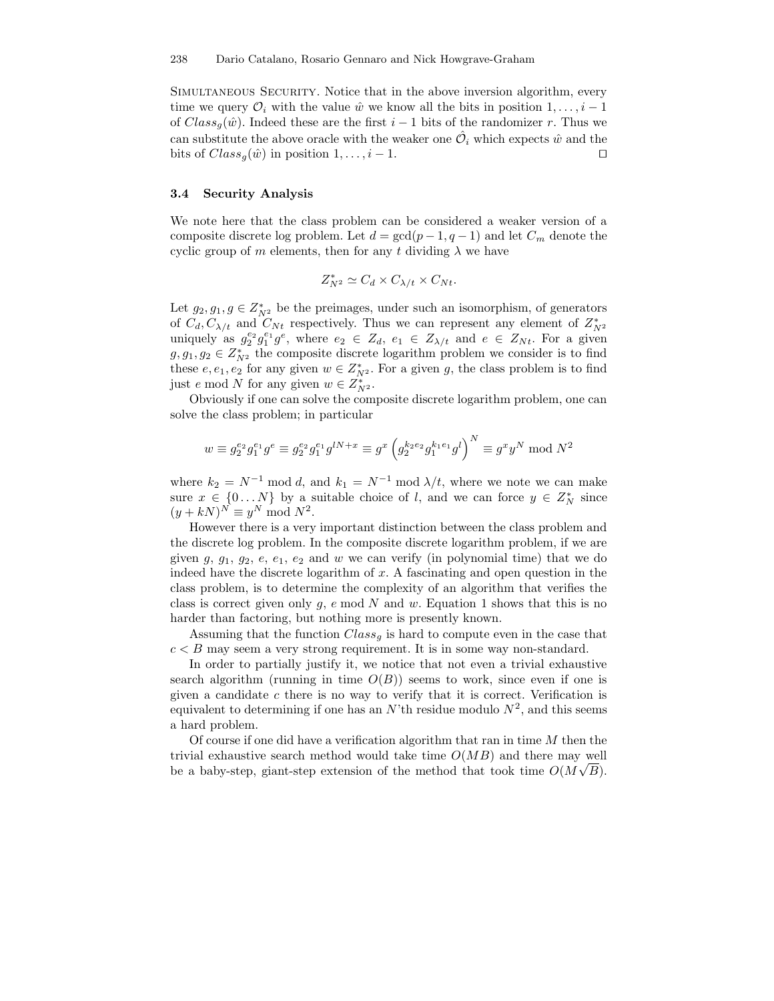Simultaneous Security. Notice that in the above inversion algorithm, every time we query  $\mathcal{O}_i$  with the value  $\hat{w}$  we know all the bits in position  $1, \ldots, i-1$ of  $Class_{q}(\hat{w})$ . Indeed these are the first  $i-1$  bits of the randomizer r. Thus we can substitute the above oracle with the weaker one  $\hat{\mathcal{O}}_i$  which expects  $\hat{w}$  and the bits of  $Class_q(\hat{w})$  in position  $1, \ldots, i-1$ .

## 3.4 Security Analysis

We note here that the class problem can be considered a weaker version of a composite discrete log problem. Let  $d = \gcd(p-1, q-1)$  and let  $C_m$  denote the cyclic group of m elements, then for any t dividing  $\lambda$  we have

$$
Z_{N^2}^* \simeq C_d \times C_{\lambda/t} \times C_{Nt}.
$$

Let  $g_2, g_1, g \in Z^*_{N^2}$  be the preimages, under such an isomorphism, of generators of  $C_d, C_{\lambda/t}$  and  $C_{Nt}$  respectively. Thus we can represent any element of  $Z^*_{N^2}$ uniquely as  $g_2^{e_2}g_1^{e_1}g^e$ , where  $e_2 \in Z_d$ ,  $e_1 \in Z_{\lambda/t}$  and  $e \in Z_{Nt}$ . For a given  $g, g_1, g_2 \in Z^*_{N^2}$  the composite discrete logarithm problem we consider is to find these  $e, e_1, e_2$  for any given  $w \in Z^*_{N^2}$ . For a given g, the class problem is to find just e mod N for any given  $w \in Z_{N^2}^*$ .

Obviously if one can solve the composite discrete logarithm problem, one can solve the class problem; in particular

$$
w \equiv g_2^{e_2} g_1^{e_1} g^e \equiv g_2^{e_2} g_1^{e_1} g^{lN+x} \equiv g^x \left( g_2^{k_2 e_2} g_1^{k_1 e_1} g^l \right)^N \equiv g^x y^N \text{ mod } N^2
$$

where  $k_2 = N^{-1} \text{ mod } d$ , and  $k_1 = N^{-1} \text{ mod } \lambda/t$ , where we note we can make sure  $x \in \{0...N\}$  by a suitable choice of l, and we can force  $y \in Z_N^*$  since  $(y+kN)^N \equiv y^N \bmod N^2$ .

However there is a very important distinction between the class problem and the discrete log problem. In the composite discrete logarithm problem, if we are given  $g, g_1, g_2, e, e_1, e_2$  and w we can verify (in polynomial time) that we do indeed have the discrete logarithm of x. A fascinating and open question in the class problem, is to determine the complexity of an algorithm that verifies the class is correct given only  $g$ ,  $e \mod N$  and  $w$ . Equation 1 shows that this is no harder than factoring, but nothing more is presently known.

Assuming that the function  $Class_g$  is hard to compute even in the case that  $c < B$  may seem a very strong requirement. It is in some way non-standard.

In order to partially justify it, we notice that not even a trivial exhaustive search algorithm (running in time  $O(B)$ ) seems to work, since even if one is given a candidate  $c$  there is no way to verify that it is correct. Verification is equivalent to determining if one has an  $N'$ th residue modulo  $N^2$ , and this seems a hard problem.

Of course if one did have a verification algorithm that ran in time M then the trivial exhaustive search method would take time  $O(MB)$  and there may well be a baby-step, giant-step extension of the method that took time  $O(M\sqrt{B})$ .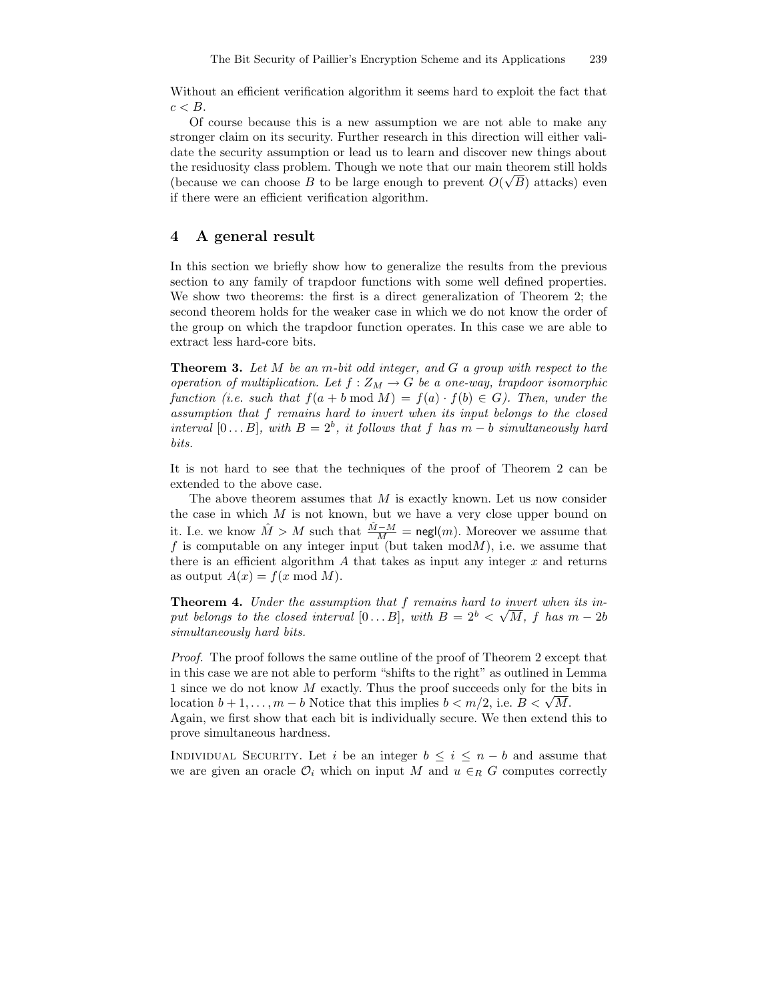Without an efficient verification algorithm it seems hard to exploit the fact that  $c < B$ .

Of course because this is a new assumption we are not able to make any stronger claim on its security. Further research in this direction will either validate the security assumption or lead us to learn and discover new things about the residuosity class problem. Though we note that our main theorem still holds (because we can choose B to be large enough to prevent  $O(\sqrt{B})$  attacks) even if there were an efficient verification algorithm.

# 4 A general result

In this section we briefly show how to generalize the results from the previous section to any family of trapdoor functions with some well defined properties. We show two theorems: the first is a direct generalization of Theorem 2; the second theorem holds for the weaker case in which we do not know the order of the group on which the trapdoor function operates. In this case we are able to extract less hard-core bits.

**Theorem 3.** Let  $M$  be an m-bit odd integer, and  $G$  a group with respect to the operation of multiplication. Let  $f: Z_M \to G$  be a one-way, trapdoor isomorphic function (i.e. such that  $f(a + b \mod M) = f(a) \cdot f(b) \in G$ ). Then, under the assumption that f remains hard to invert when its input belongs to the closed interval  $[0...B]$ , with  $B = 2^b$ , it follows that f has  $m - b$  simultaneously hard bits.

It is not hard to see that the techniques of the proof of Theorem 2 can be extended to the above case.

The above theorem assumes that  $M$  is exactly known. Let us now consider the case in which  $M$  is not known, but we have a very close upper bound on it. I.e. we know  $\hat{M} > M$  such that  $\frac{\hat{M}-M}{M} = \text{negl}(m)$ . Moreover we assume that f is computable on any integer input (but taken  $modM$ ), i.e. we assume that there is an efficient algorithm  $A$  that takes as input any integer  $x$  and returns as output  $A(x) = f(x \mod M)$ .

Theorem 4. Under the assumption that f remains hard to invert when its input belongs to the closed interval  $[0...B]$ , with  $B = 2^b < \sqrt{M}$ , f has  $m - 2b$ simultaneously hard bits.

Proof. The proof follows the same outline of the proof of Theorem 2 except that in this case we are not able to perform "shifts to the right" as outlined in Lemma 1 since we do not know M exactly. Thus the proof succeeds only for the bits in location  $b + 1, \ldots, m - b$  Notice that this implies  $b < m/2$ , i.e.  $B < \sqrt{M}$ .

Again, we first show that each bit is individually secure. We then extend this to prove simultaneous hardness.

INDIVIDUAL SECURITY. Let i be an integer  $b \le i \le n - b$  and assume that we are given an oracle  $\mathcal{O}_i$  which on input M and  $u \in_R G$  computes correctly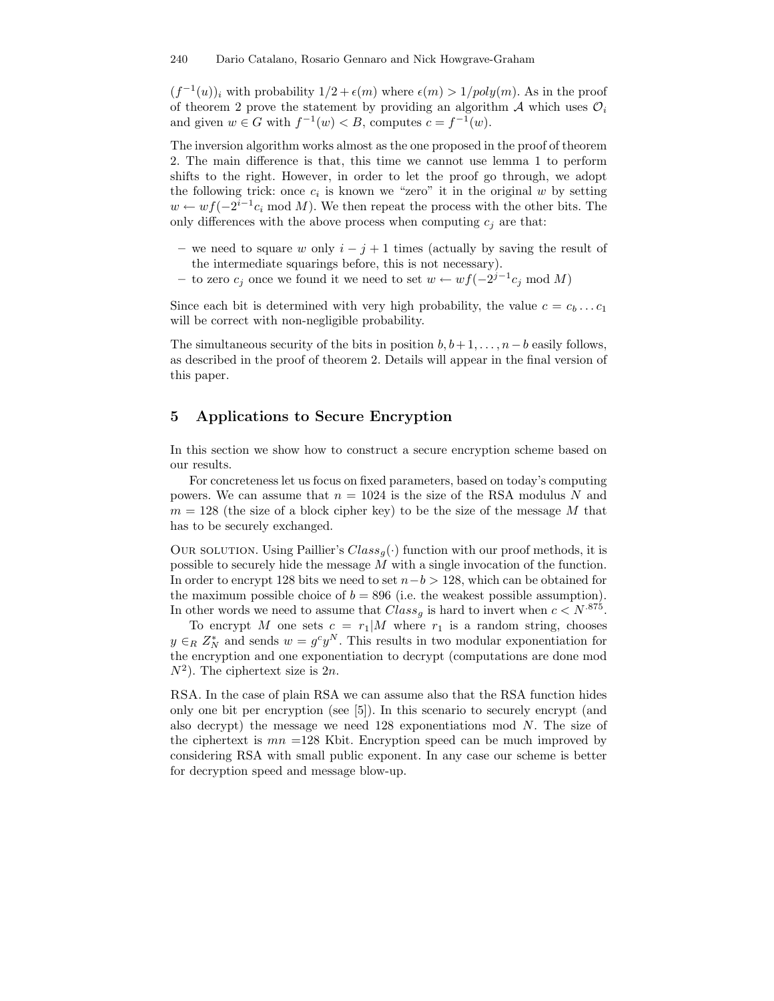$(f^{-1}(u))_i$  with probability  $1/2 + \epsilon(m)$  where  $\epsilon(m) > 1/poly(m)$ . As in the proof of theorem 2 prove the statement by providing an algorithm  $A$  which uses  $\mathcal{O}_i$ and given  $w \in G$  with  $f^{-1}(w) < B$ , computes  $c = f^{-1}(w)$ .

The inversion algorithm works almost as the one proposed in the proof of theorem 2. The main difference is that, this time we cannot use lemma 1 to perform shifts to the right. However, in order to let the proof go through, we adopt the following trick: once  $c_i$  is known we "zero" it in the original w by setting  $w \leftarrow wf(-2^{i-1}c_i \mod M)$ . We then repeat the process with the other bits. The only differences with the above process when computing  $c_i$  are that:

- we need to square w only  $i j + 1$  times (actually by saving the result of the intermediate squarings before, this is not necessary).
- to zero  $c_j$  once we found it we need to set  $w \leftarrow wf(-2^{j-1}c_j \mod M)$

Since each bit is determined with very high probability, the value  $c = c_b \dots c_1$ will be correct with non-negligible probability.

The simultaneous security of the bits in position  $b, b+1, \ldots, n-b$  easily follows, as described in the proof of theorem 2. Details will appear in the final version of this paper.

# 5 Applications to Secure Encryption

In this section we show how to construct a secure encryption scheme based on our results.

For concreteness let us focus on fixed parameters, based on today's computing powers. We can assume that  $n = 1024$  is the size of the RSA modulus N and  $m = 128$  (the size of a block cipher key) to be the size of the message M that has to be securely exchanged.

OUR SOLUTION. Using Paillier's  $Class_{q}(\cdot)$  function with our proof methods, it is possible to securely hide the message M with a single invocation of the function. In order to encrypt 128 bits we need to set  $n-b > 128$ , which can be obtained for the maximum possible choice of  $b = 896$  (i.e. the weakest possible assumption). In other words we need to assume that  $Class_g$  is hard to invert when  $c < N^{.875}$ .

To encrypt M one sets  $c = r_1|M$  where  $r_1$  is a random string, chooses  $y \in_R Z_N^*$  and sends  $w = g^c y^N$ . This results in two modular exponentiation for the encryption and one exponentiation to decrypt (computations are done mod  $N^2$ ). The ciphertext size is 2n.

RSA. In the case of plain RSA we can assume also that the RSA function hides only one bit per encryption (see [5]). In this scenario to securely encrypt (and also decrypt) the message we need  $128$  exponentiations mod N. The size of the ciphertext is  $mn =128$  Kbit. Encryption speed can be much improved by considering RSA with small public exponent. In any case our scheme is better for decryption speed and message blow-up.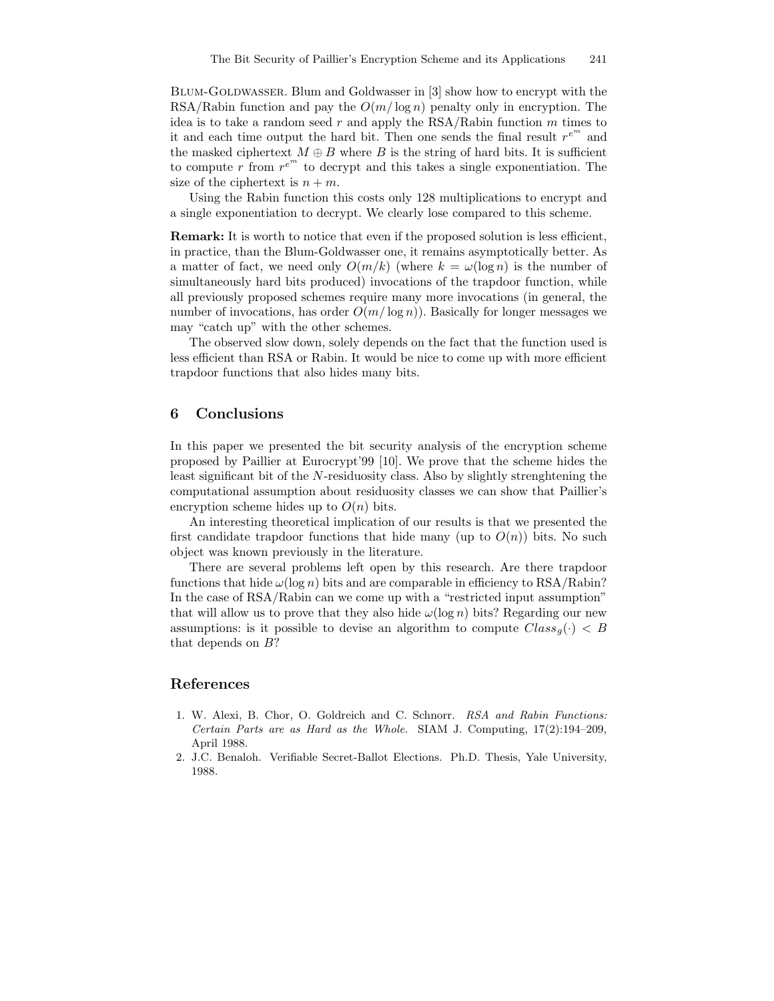Blum-Goldwasser. Blum and Goldwasser in [3] show how to encrypt with the RSA/Rabin function and pay the  $O(m/\log n)$  penalty only in encryption. The idea is to take a random seed r and apply the  $\text{RSA}/\text{Rabin}$  function m times to it and each time output the hard bit. Then one sends the final result  $r^{e^m}$  and the masked ciphertext  $M \oplus B$  where B is the string of hard bits. It is sufficient to compute r from  $re^{m}$  to decrypt and this takes a single exponentiation. The size of the ciphertext is  $n + m$ .

Using the Rabin function this costs only 128 multiplications to encrypt and a single exponentiation to decrypt. We clearly lose compared to this scheme.

Remark: It is worth to notice that even if the proposed solution is less efficient, in practice, than the Blum-Goldwasser one, it remains asymptotically better. As a matter of fact, we need only  $O(m/k)$  (where  $k = \omega(\log n)$  is the number of simultaneously hard bits produced) invocations of the trapdoor function, while all previously proposed schemes require many more invocations (in general, the number of invocations, has order  $O(m/\log n)$ ). Basically for longer messages we may "catch up" with the other schemes.

The observed slow down, solely depends on the fact that the function used is less efficient than RSA or Rabin. It would be nice to come up with more efficient trapdoor functions that also hides many bits.

# 6 Conclusions

In this paper we presented the bit security analysis of the encryption scheme proposed by Paillier at Eurocrypt'99 [10]. We prove that the scheme hides the least significant bit of the N-residuosity class. Also by slightly strenghtening the computational assumption about residuosity classes we can show that Paillier's encryption scheme hides up to  $O(n)$  bits.

An interesting theoretical implication of our results is that we presented the first candidate trapdoor functions that hide many (up to  $O(n)$ ) bits. No such object was known previously in the literature.

There are several problems left open by this research. Are there trapdoor functions that hide  $\omega(\log n)$  bits and are comparable in efficiency to RSA/Rabin? In the case of RSA/Rabin can we come up with a "restricted input assumption" that will allow us to prove that they also hide  $\omega(\log n)$  bits? Regarding our new assumptions: is it possible to devise an algorithm to compute  $Class_q(\cdot) < B$ that depends on B?

# References

- 1. W. Alexi, B. Chor, O. Goldreich and C. Schnorr. RSA and Rabin Functions: Certain Parts are as Hard as the Whole. SIAM J. Computing, 17(2):194–209, April 1988.
- 2. J.C. Benaloh. Verifiable Secret-Ballot Elections. Ph.D. Thesis, Yale University, 1988.